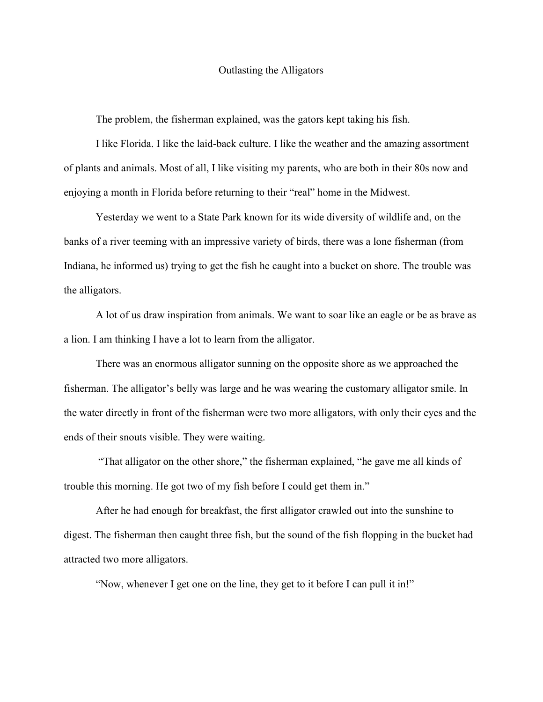## Outlasting the Alligators

The problem, the fisherman explained, was the gators kept taking his fish.

I like Florida. I like the laid-back culture. I like the weather and the amazing assortment of plants and animals. Most of all, I like visiting my parents, who are both in their 80s now and enjoying a month in Florida before returning to their "real" home in the Midwest.

Yesterday we went to a State Park known for its wide diversity of wildlife and, on the banks of a river teeming with an impressive variety of birds, there was a lone fisherman (from Indiana, he informed us) trying to get the fish he caught into a bucket on shore. The trouble was the alligators.

A lot of us draw inspiration from animals. We want to soar like an eagle or be as brave as a lion. I am thinking I have a lot to learn from the alligator.

There was an enormous alligator sunning on the opposite shore as we approached the fisherman. The alligator's belly was large and he was wearing the customary alligator smile. In the water directly in front of the fisherman were two more alligators, with only their eyes and the ends of their snouts visible. They were waiting.

 "That alligator on the other shore," the fisherman explained, "he gave me all kinds of trouble this morning. He got two of my fish before I could get them in."

After he had enough for breakfast, the first alligator crawled out into the sunshine to digest. The fisherman then caught three fish, but the sound of the fish flopping in the bucket had attracted two more alligators.

"Now, whenever I get one on the line, they get to it before I can pull it in!"